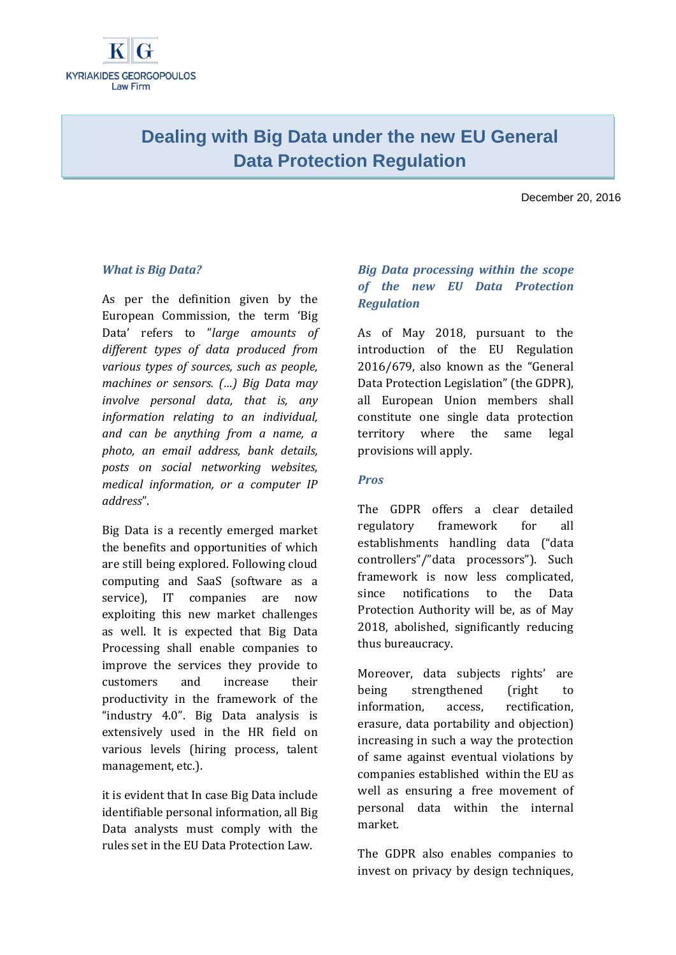# **Dealing with Big Data under the new EU General Data Protection Regulation**

December 20, 2016

### *What is Big Data?*

As per the definition given by the European Commission, the term 'Big Data' refers to "*large amounts of different types of data produced from various types of sources, such as people, machines or sensors. (…) Big Data may involve personal data, that is, any information relating to an individual, and can be anything from a name, a photo, an email address, bank details, posts on social networking websites, medical information, or a computer IP address*".

Big Data is a recently emerged market the benefits and opportunities of which are still being explored. Following cloud computing and SaaS (software as a service), IT companies are now exploiting this new market challenges as well. It is expected that Big Data Processing shall enable companies to improve the services they provide to customers and increase their productivity in the framework of the "industry 4.0". Big Data analysis is extensively used in the HR field on various levels (hiring process, talent management, etc.).

it is evident that In case Big Data include identifiable personal information, all Big Data analysts must comply with the rules set in the EU Data Protection Law.

# *Big Data processing within the scope of the new EU Data Protection Regulation*

As of May 2018, pursuant to the introduction of the EU Regulation 2016/679, also known as the "General Data Protection Legislation" (the GDPR), all European Union members shall constitute one single data protection territory where the same legal provisions will apply.

#### *Pros*

The GDPR offers a clear detailed regulatory framework for all establishments handling data ("data controllers"/"data processors"). Such framework is now less complicated, since notifications to the Data Protection Authority will be, as of May 2018, abolished, significantly reducing thus bureaucracy.

Moreover, data subjects rights' are being strengthened (right to information, access, rectification, erasure, data portability and objection) increasing in such a way the protection of same against eventual violations by companies established within the EU as well as ensuring a free movement of personal data within the internal market.

The GDPR also enables companies to invest on privacy by design techniques,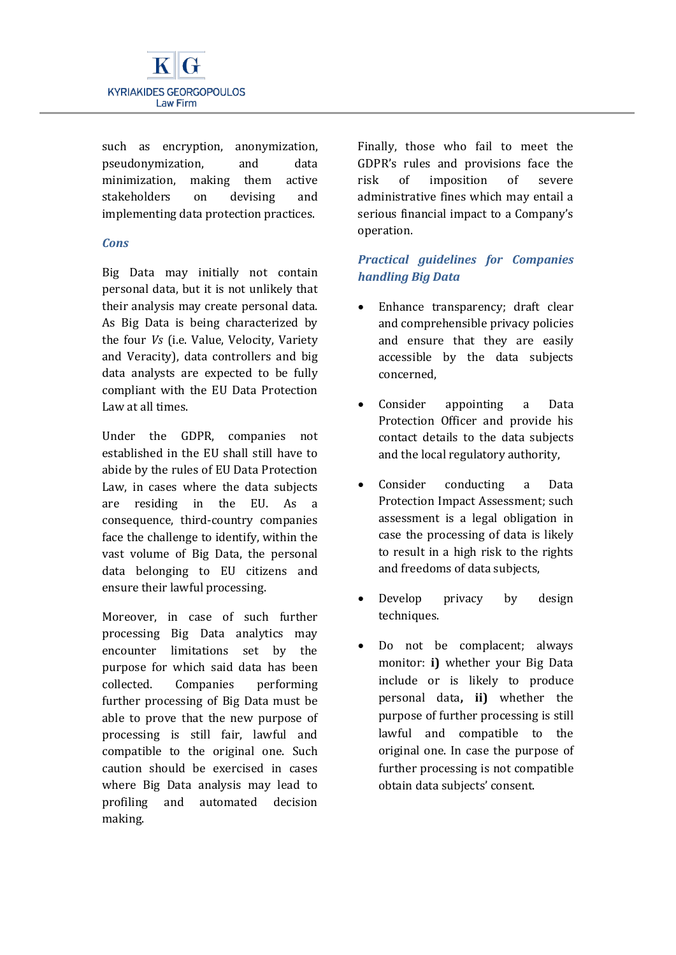

such as encryption, anonymization, pseudonymization, and data minimization, making them active stakeholders on devising and implementing data protection practices.

#### *Cons*

Big Data may initially not contain personal data, but it is not unlikely that their analysis may create personal data. As Big Data is being characterized by the four *Vs* (i.e. Value, Velocity, Variety and Veracity), data controllers and big data analysts are expected to be fully compliant with the EU Data Protection Law at all times.

Under the GDPR, companies not established in the EU shall still have to abide by the rules of EU Data Protection Law, in cases where the data subjects are residing in the EU. As a consequence, third-country companies face the challenge to identify, within the vast volume of Big Data, the personal data belonging to EU citizens and ensure their lawful processing.

Moreover, in case of such further processing Big Data analytics may encounter limitations set by the purpose for which said data has been collected. Companies performing further processing of Big Data must be able to prove that the new purpose of processing is still fair, lawful and compatible to the original one. Such caution should be exercised in cases where Big Data analysis may lead to profiling and automated decision making.

Finally, those who fail to meet the GDPR's rules and provisions face the risk of imposition of severe administrative fines which may entail a serious financial impact to a Company's operation.

## *Practical guidelines for Companies handling Big Data*

- Enhance transparency: draft clear and comprehensible privacy policies and ensure that they are easily accessible by the data subjects concerned,
- Consider appointing a Data Protection Officer and provide his contact details to the data subjects and the local regulatory authority,
- Consider conducting a Data Protection Impact Assessment; such assessment is a legal obligation in case the processing of data is likely to result in a high risk to the rights and freedoms of data subjects,
- Develop privacy by design techniques.
- Do not be complacent; always monitor: **i)** whether your Big Data include or is likely to produce personal data**, ii)** whether the purpose of further processing is still lawful and compatible to the original one. In case the purpose of further processing is not compatible obtain data subjects' consent.